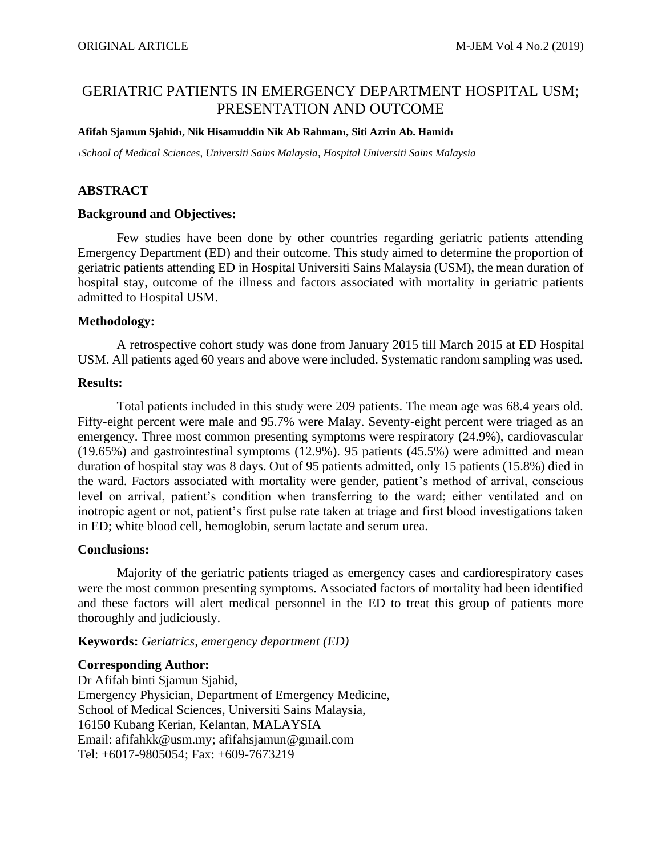# GERIATRIC PATIENTS IN EMERGENCY DEPARTMENT HOSPITAL USM; PRESENTATION AND OUTCOME

#### **Afifah Sjamun Sjahid1, Nik Hisamuddin Nik Ab Rahman1, Siti Azrin Ab. Hamid<sup>1</sup>**

*<sup>1</sup>School of Medical Sciences, Universiti Sains Malaysia, Hospital Universiti Sains Malaysia*

# **ABSTRACT**

#### **Background and Objectives:**

Few studies have been done by other countries regarding geriatric patients attending Emergency Department (ED) and their outcome. This study aimed to determine the proportion of geriatric patients attending ED in Hospital Universiti Sains Malaysia (USM), the mean duration of hospital stay, outcome of the illness and factors associated with mortality in geriatric patients admitted to Hospital USM.

### **Methodology:**

A retrospective cohort study was done from January 2015 till March 2015 at ED Hospital USM. All patients aged 60 years and above were included. Systematic random sampling was used.

### **Results:**

Total patients included in this study were 209 patients. The mean age was 68.4 years old. Fifty-eight percent were male and 95.7% were Malay. Seventy-eight percent were triaged as an emergency. Three most common presenting symptoms were respiratory (24.9%), cardiovascular (19.65%) and gastrointestinal symptoms (12.9%). 95 patients (45.5%) were admitted and mean duration of hospital stay was 8 days. Out of 95 patients admitted, only 15 patients (15.8%) died in the ward. Factors associated with mortality were gender, patient's method of arrival, conscious level on arrival, patient's condition when transferring to the ward; either ventilated and on inotropic agent or not, patient's first pulse rate taken at triage and first blood investigations taken in ED; white blood cell, hemoglobin, serum lactate and serum urea.

#### **Conclusions:**

Majority of the geriatric patients triaged as emergency cases and cardiorespiratory cases were the most common presenting symptoms. Associated factors of mortality had been identified and these factors will alert medical personnel in the ED to treat this group of patients more thoroughly and judiciously.

**Keywords:** *Geriatrics, emergency department (ED)*

# **Corresponding Author:**

Dr Afifah binti Sjamun Sjahid, Emergency Physician, Department of Emergency Medicine, School of Medical Sciences, Universiti Sains Malaysia, 16150 Kubang Kerian, Kelantan, MALAYSIA Email: afifahkk@usm.my; afifahsjamun@gmail.com Tel: +6017-9805054; Fax: +609-7673219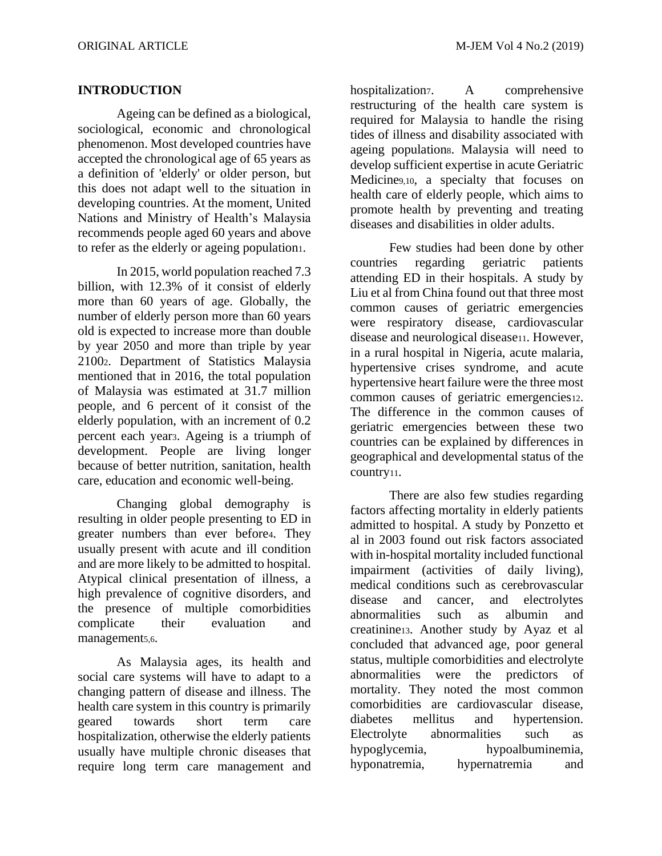# **INTRODUCTION**

Ageing can be defined as a biological, sociological, economic and chronological phenomenon. Most developed countries have accepted the chronological age of 65 years as a definition of 'elderly' or older person, but this does not adapt well to the situation in developing countries. At the moment, United Nations and Ministry of Health's Malaysia recommends people aged 60 years and above to refer as the elderly or ageing population1.

In 2015, world population reached 7.3 billion, with 12.3% of it consist of elderly more than 60 years of age. Globally, the number of elderly person more than 60 years old is expected to increase more than double by year 2050 and more than triple by year 21002. Department of Statistics Malaysia mentioned that in 2016, the total population of Malaysia was estimated at 31.7 million people, and 6 percent of it consist of the elderly population, with an increment of 0.2 percent each year3. Ageing is a triumph of development. People are living longer because of better nutrition, sanitation, health care, education and economic well-being.

Changing global demography is resulting in older people presenting to ED in greater numbers than ever before4. They usually present with acute and ill condition and are more likely to be admitted to hospital. Atypical clinical presentation of illness, a high prevalence of cognitive disorders, and the presence of multiple comorbidities complicate their evaluation and management<sub>5,6</sub>.

As Malaysia ages, its health and social care systems will have to adapt to a changing pattern of disease and illness. The health care system in this country is primarily geared towards short term care hospitalization, otherwise the elderly patients usually have multiple chronic diseases that require long term care management and

hospitalization<sub>7</sub>. A comprehensive restructuring of the health care system is required for Malaysia to handle the rising tides of illness and disability associated with ageing population8. Malaysia will need to develop sufficient expertise in acute Geriatric Medicine9,10, a specialty that focuses on health care of elderly people, which aims to promote health by preventing and treating diseases and disabilities in older adults.

Few studies had been done by other countries regarding geriatric patients attending ED in their hospitals. A study by Liu et al from China found out that three most common causes of geriatric emergencies were respiratory disease, cardiovascular disease and neurological disease11. However, in a rural hospital in Nigeria, acute malaria, hypertensive crises syndrome, and acute hypertensive heart failure were the three most common causes of geriatric emergencies12. The difference in the common causes of geriatric emergencies between these two countries can be explained by differences in geographical and developmental status of the country11.

There are also few studies regarding factors affecting mortality in elderly patients admitted to hospital. A study by Ponzetto et al in 2003 found out risk factors associated with in-hospital mortality included functional impairment (activities of daily living), medical conditions such as cerebrovascular disease and cancer, and electrolytes abnormalities such as albumin and creatinine13. Another study by Ayaz et al concluded that advanced age, poor general status, multiple comorbidities and electrolyte abnormalities were the predictors of mortality. They noted the most common comorbidities are cardiovascular disease, diabetes mellitus and hypertension. Electrolyte abnormalities such as hypoglycemia, hypoalbuminemia, hyponatremia, hypernatremia and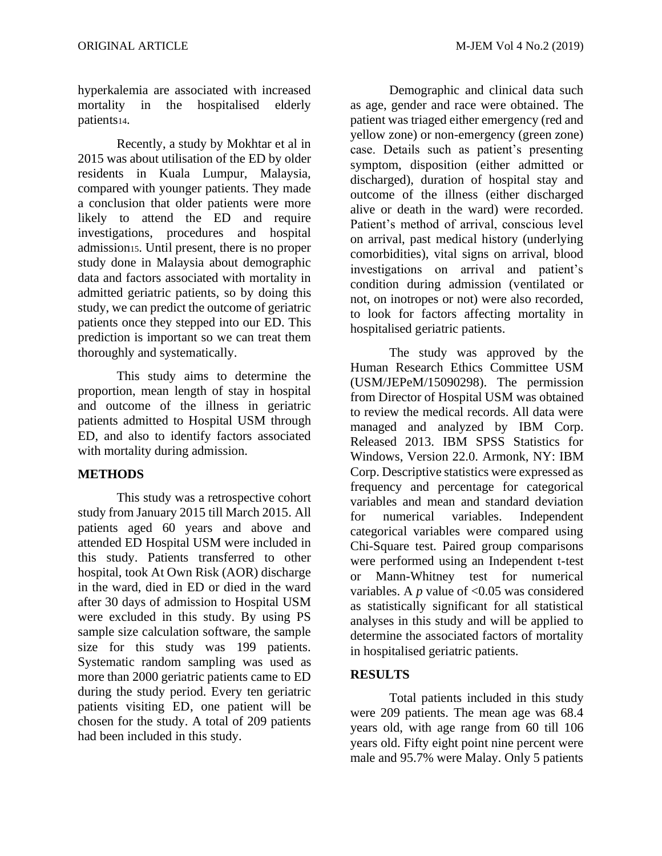hyperkalemia are associated with increased mortality in the hospitalised elderly patients14.

Recently, a study by Mokhtar et al in 2015 was about utilisation of the ED by older residents in Kuala Lumpur, Malaysia, compared with younger patients. They made a conclusion that older patients were more likely to attend the ED and require investigations, procedures and hospital admission15. Until present, there is no proper study done in Malaysia about demographic data and factors associated with mortality in admitted geriatric patients, so by doing this study, we can predict the outcome of geriatric patients once they stepped into our ED. This prediction is important so we can treat them thoroughly and systematically.

This study aims to determine the proportion, mean length of stay in hospital and outcome of the illness in geriatric patients admitted to Hospital USM through ED, and also to identify factors associated with mortality during admission.

# **METHODS**

This study was a retrospective cohort study from January 2015 till March 2015. All patients aged 60 years and above and attended ED Hospital USM were included in this study. Patients transferred to other hospital, took At Own Risk (AOR) discharge in the ward, died in ED or died in the ward after 30 days of admission to Hospital USM were excluded in this study. By using PS sample size calculation software, the sample size for this study was 199 patients. Systematic random sampling was used as more than 2000 geriatric patients came to ED during the study period. Every ten geriatric patients visiting ED, one patient will be chosen for the study. A total of 209 patients had been included in this study.

Demographic and clinical data such as age, gender and race were obtained. The patient was triaged either emergency (red and yellow zone) or non-emergency (green zone) case. Details such as patient's presenting symptom, disposition (either admitted or discharged), duration of hospital stay and outcome of the illness (either discharged alive or death in the ward) were recorded. Patient's method of arrival, conscious level on arrival, past medical history (underlying comorbidities), vital signs on arrival, blood investigations on arrival and patient's condition during admission (ventilated or not, on inotropes or not) were also recorded, to look for factors affecting mortality in hospitalised geriatric patients.

The study was approved by the Human Research Ethics Committee USM (USM/JEPeM/15090298). The permission from Director of Hospital USM was obtained to review the medical records. All data were managed and analyzed by IBM Corp. Released 2013. IBM SPSS Statistics for Windows, Version 22.0. Armonk, NY: IBM Corp. Descriptive statistics were expressed as frequency and percentage for categorical variables and mean and standard deviation for numerical variables. Independent categorical variables were compared using Chi-Square test. Paired group comparisons were performed using an Independent t-test or Mann-Whitney test for numerical variables. A  $p$  value of <0.05 was considered as statistically significant for all statistical analyses in this study and will be applied to determine the associated factors of mortality in hospitalised geriatric patients.

# **RESULTS**

Total patients included in this study were 209 patients. The mean age was 68.4 years old, with age range from 60 till 106 years old. Fifty eight point nine percent were male and 95.7% were Malay. Only 5 patients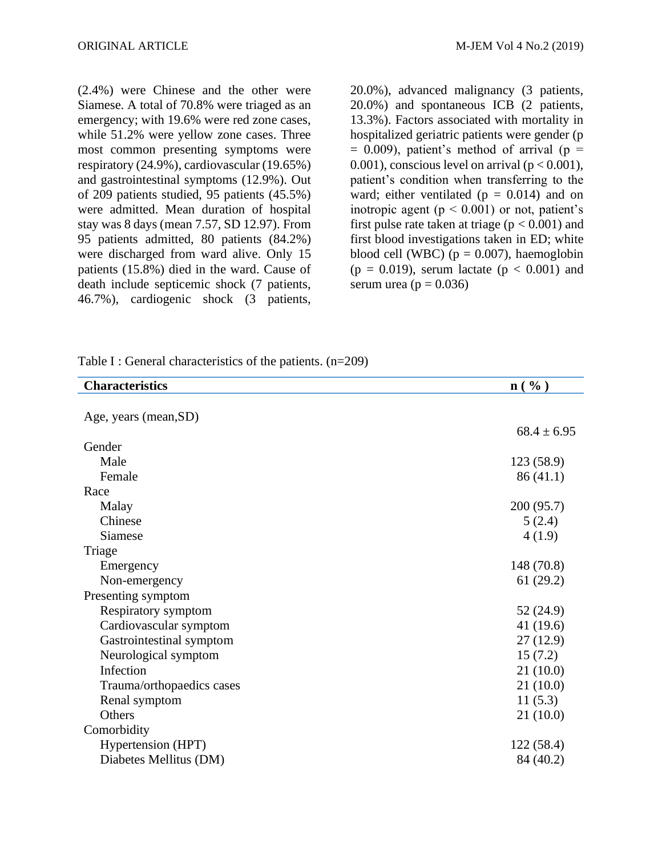(2.4%) were Chinese and the other were Siamese. A total of 70.8% were triaged as an emergency; with 19.6% were red zone cases, while 51.2% were yellow zone cases. Three most common presenting symptoms were respiratory (24.9%), cardiovascular (19.65%) and gastrointestinal symptoms (12.9%). Out of 209 patients studied, 95 patients (45.5%) were admitted. Mean duration of hospital stay was 8 days (mean 7.57, SD 12.97). From 95 patients admitted, 80 patients (84.2%) were discharged from ward alive. Only 15 patients (15.8%) died in the ward. Cause of death include septicemic shock (7 patients, 46.7%), cardiogenic shock (3 patients,

20.0%), advanced malignancy (3 patients, 20.0%) and spontaneous ICB (2 patients, 13.3%). Factors associated with mortality in hospitalized geriatric patients were gender (p  $= 0.009$ ), patient's method of arrival (p  $=$ 0.001), conscious level on arrival ( $p < 0.001$ ), patient's condition when transferring to the ward; either ventilated ( $p = 0.014$ ) and on inotropic agent ( $p < 0.001$ ) or not, patient's first pulse rate taken at triage ( $p < 0.001$ ) and first blood investigations taken in ED; white blood cell (WBC) ( $p = 0.007$ ), haemoglobin  $(p = 0.019)$ , serum lactate  $(p < 0.001)$  and serum urea ( $p = 0.036$ )

| Table I : General characteristics of the patients. $(n=209)$ |  |  |  |  |  |
|--------------------------------------------------------------|--|--|--|--|--|
|--------------------------------------------------------------|--|--|--|--|--|

| <b>Characteristics</b>    | n( %)           |
|---------------------------|-----------------|
|                           |                 |
| Age, years (mean, SD)     |                 |
|                           | $68.4 \pm 6.95$ |
| Gender                    |                 |
| Male                      | 123 (58.9)      |
| Female                    | 86(41.1)        |
| Race                      |                 |
| Malay                     | 200 (95.7)      |
| Chinese                   | 5(2.4)          |
| Siamese                   | 4(1.9)          |
| Triage                    |                 |
| Emergency                 | 148 (70.8)      |
| Non-emergency             | 61(29.2)        |
| Presenting symptom        |                 |
| Respiratory symptom       | 52 (24.9)       |
| Cardiovascular symptom    | 41 $(19.6)$     |
| Gastrointestinal symptom  | 27(12.9)        |
| Neurological symptom      | 15(7.2)         |
| Infection                 | 21(10.0)        |
| Trauma/orthopaedics cases | 21(10.0)        |
| Renal symptom             | 11(5.3)         |
| Others                    | 21(10.0)        |
| Comorbidity               |                 |
| Hypertension (HPT)        | 122(58.4)       |
| Diabetes Mellitus (DM)    | 84 (40.2)       |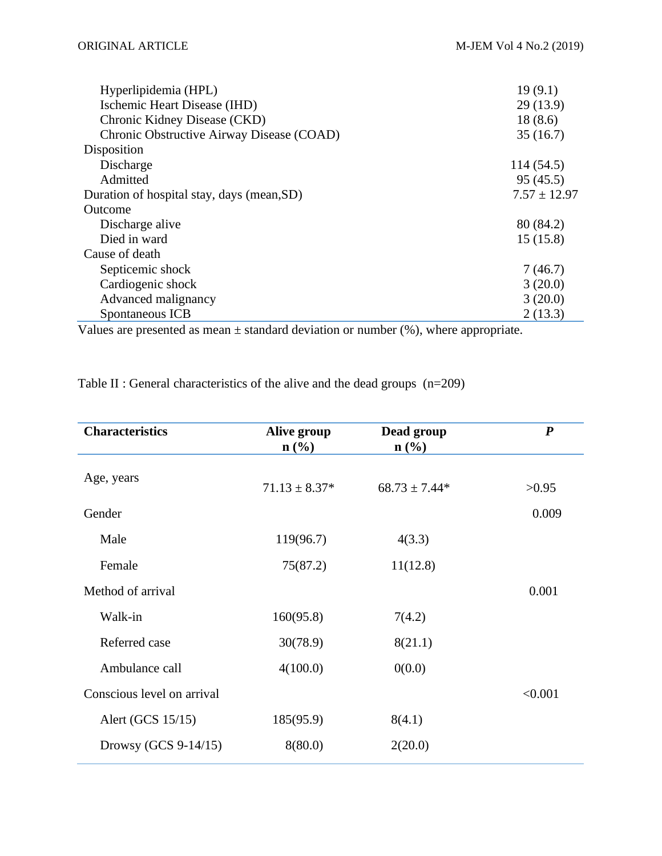| Hyperlipidemia (HPL)                       | 19(9.1)          |
|--------------------------------------------|------------------|
| Ischemic Heart Disease (IHD)               | 29(13.9)         |
| Chronic Kidney Disease (CKD)               | 18(8.6)          |
| Chronic Obstructive Airway Disease (COAD)  | 35(16.7)         |
| Disposition                                |                  |
| Discharge                                  | 114 (54.5)       |
| Admitted                                   | 95(45.5)         |
| Duration of hospital stay, days (mean, SD) | $7.57 \pm 12.97$ |
| Outcome                                    |                  |
| Discharge alive                            | 80 (84.2)        |
| Died in ward                               | 15(15.8)         |
| Cause of death                             |                  |
| Septicemic shock                           | 7(46.7)          |
| Cardiogenic shock                          | 3(20.0)          |
| Advanced malignancy                        | 3(20.0)          |
| Spontaneous ICB                            | 2(13.3)          |

Values are presented as mean  $\pm$  standard deviation or number (%), where appropriate.

| <b>Characteristics</b>     | Alive group<br>$\mathbf{n}(\%)$ | Dead group<br>$\mathbf{n}(\%)$ | $\boldsymbol{P}$ |
|----------------------------|---------------------------------|--------------------------------|------------------|
| Age, years                 | $71.13 \pm 8.37*$               | $68.73 \pm 7.44*$              | >0.95            |
| Gender                     |                                 |                                | 0.009            |
| Male                       | 119(96.7)                       | 4(3.3)                         |                  |
| Female                     | 75(87.2)                        | 11(12.8)                       |                  |
| Method of arrival          |                                 |                                | 0.001            |
| Walk-in                    | 160(95.8)                       | 7(4.2)                         |                  |
| Referred case              | 30(78.9)                        | 8(21.1)                        |                  |
| Ambulance call             | 4(100.0)                        | 0(0.0)                         |                  |
| Conscious level on arrival |                                 |                                | < 0.001          |
| Alert (GCS 15/15)          | 185(95.9)                       | 8(4.1)                         |                  |
| Drowsy (GCS $9-14/15$ )    | 8(80.0)                         | 2(20.0)                        |                  |

Table II : General characteristics of the alive and the dead groups (n=209)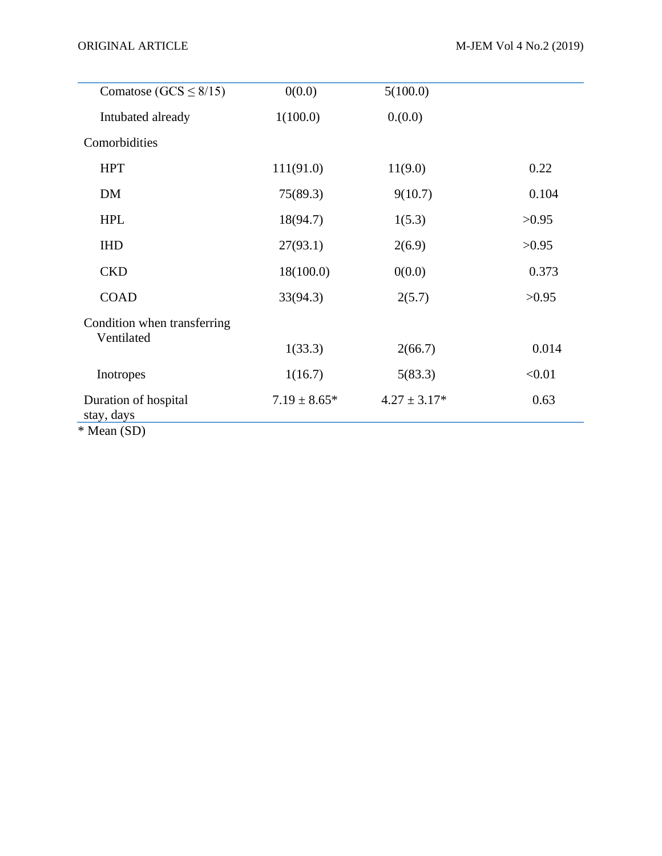| 0(0.0)           | 5(100.0)         |        |
|------------------|------------------|--------|
| 1(100.0)         | 0.000            |        |
|                  |                  |        |
| 111(91.0)        | 11(9.0)          | 0.22   |
| 75(89.3)         | 9(10.7)          | 0.104  |
| 18(94.7)         | 1(5.3)           | >0.95  |
| 27(93.1)         | 2(6.9)           | >0.95  |
| 18(100.0)        | 0(0.0)           | 0.373  |
| 33(94.3)         | 2(5.7)           | >0.95  |
|                  |                  |        |
| 1(33.3)          | 2(66.7)          | 0.014  |
| 1(16.7)          | 5(83.3)          | < 0.01 |
| $7.19 \pm 8.65*$ | $4.27 \pm 3.17*$ | 0.63   |
|                  |                  |        |

\* Mean (SD)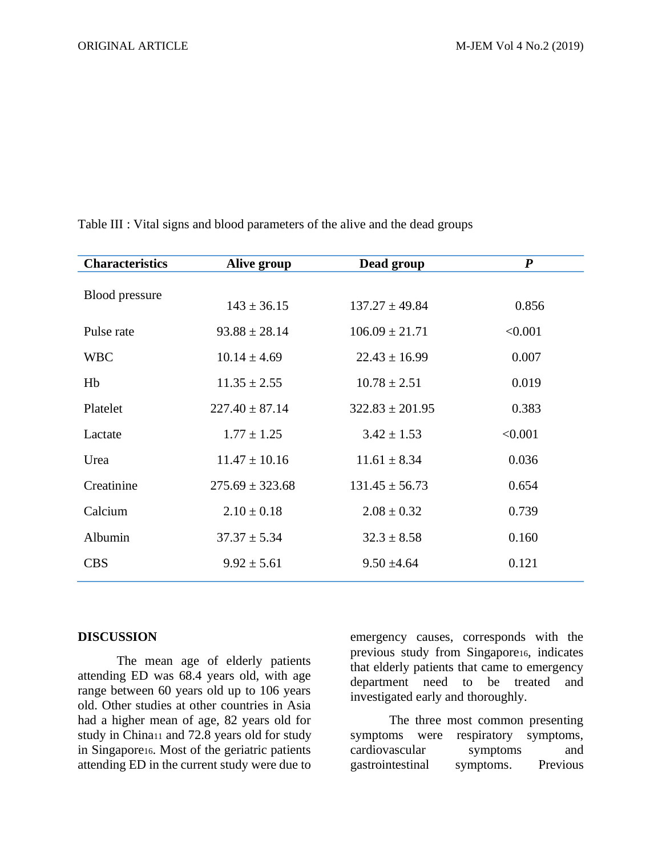| <b>Characteristics</b> | Alive group         | Dead group          | $\boldsymbol{P}$ |
|------------------------|---------------------|---------------------|------------------|
|                        |                     |                     |                  |
| <b>Blood</b> pressure  | $143 \pm 36.15$     | $137.27 \pm 49.84$  | 0.856            |
| Pulse rate             | $93.88 \pm 28.14$   | $106.09 \pm 21.71$  | < 0.001          |
| <b>WBC</b>             | $10.14 \pm 4.69$    | $22.43 \pm 16.99$   | 0.007            |
| Hb                     | $11.35 \pm 2.55$    | $10.78 \pm 2.51$    | 0.019            |
| Platelet               | $227.40 \pm 87.14$  | $322.83 \pm 201.95$ | 0.383            |
| Lactate                | $1.77 \pm 1.25$     | $3.42 \pm 1.53$     | < 0.001          |
| Urea                   | $11.47 \pm 10.16$   | $11.61 \pm 8.34$    | 0.036            |
| Creatinine             | $275.69 \pm 323.68$ | $131.45 \pm 56.73$  | 0.654            |
| Calcium                | $2.10 \pm 0.18$     | $2.08 \pm 0.32$     | 0.739            |
| Albumin                | $37.37 \pm 5.34$    | $32.3 \pm 8.58$     | 0.160            |
| <b>CBS</b>             | $9.92 \pm 5.61$     | $9.50 \pm 4.64$     | 0.121            |

Table III : Vital signs and blood parameters of the alive and the dead groups

# **DISCUSSION**

The mean age of elderly patients attending ED was 68.4 years old, with age range between 60 years old up to 106 years old. Other studies at other countries in Asia had a higher mean of age, 82 years old for study in China<sup>11</sup> and 72.8 years old for study in Singapore16. Most of the geriatric patients attending ED in the current study were due to

emergency causes, corresponds with the previous study from Singapore16, indicates that elderly patients that came to emergency department need to be treated and investigated early and thoroughly.

The three most common presenting symptoms were respiratory symptoms, cardiovascular symptoms and gastrointestinal symptoms. Previous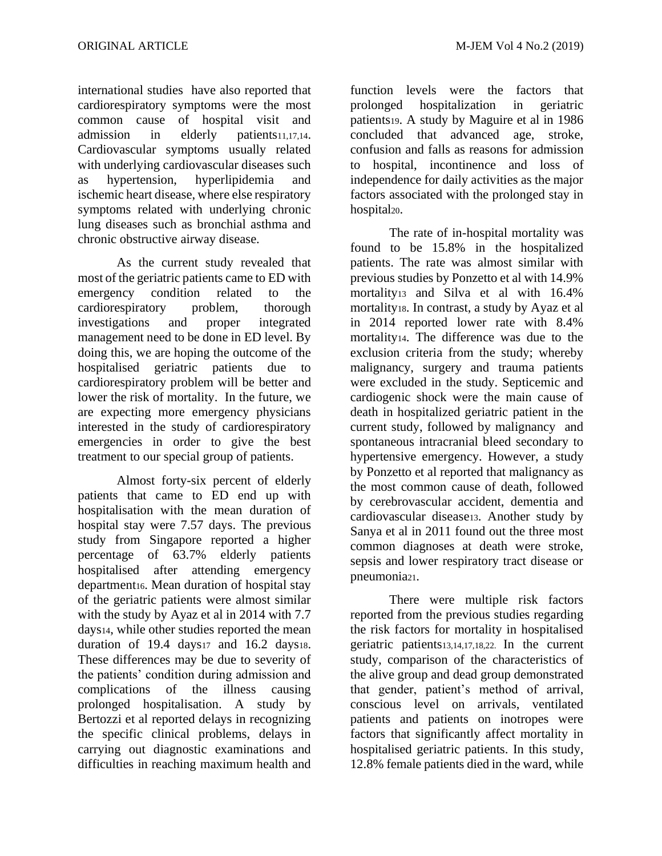international studies have also reported that cardiorespiratory symptoms were the most common cause of hospital visit and admission in elderly patients11,17,14. Cardiovascular symptoms usually related with underlying cardiovascular diseases such as hypertension, hyperlipidemia and ischemic heart disease, where else respiratory symptoms related with underlying chronic lung diseases such as bronchial asthma and chronic obstructive airway disease.

As the current study revealed that most of the geriatric patients came to ED with emergency condition related to the cardiorespiratory problem, thorough investigations and proper integrated management need to be done in ED level. By doing this, we are hoping the outcome of the hospitalised geriatric patients due to cardiorespiratory problem will be better and lower the risk of mortality. In the future, we are expecting more emergency physicians interested in the study of cardiorespiratory emergencies in order to give the best treatment to our special group of patients.

Almost forty-six percent of elderly patients that came to ED end up with hospitalisation with the mean duration of hospital stay were 7.57 days. The previous study from Singapore reported a higher percentage of 63.7% elderly patients hospitalised after attending emergency department16. Mean duration of hospital stay of the geriatric patients were almost similar with the study by Ayaz et al in 2014 with 7.7 days14, while other studies reported the mean duration of  $19.4$  days $17$  and  $16.2$  days $18.$ These differences may be due to severity of the patients' condition during admission and complications of the illness causing prolonged hospitalisation. A study by Bertozzi et al reported delays in recognizing the specific clinical problems, delays in carrying out diagnostic examinations and difficulties in reaching maximum health and

function levels were the factors that prolonged hospitalization in geriatric patients19. A study by Maguire et al in 1986 concluded that advanced age, stroke, confusion and falls as reasons for admission to hospital, incontinence and loss of independence for daily activities as the major factors associated with the prolonged stay in hospital<sub>20</sub>.

The rate of in-hospital mortality was found to be 15.8% in the hospitalized patients. The rate was almost similar with previous studies by Ponzetto et al with 14.9% mortality<sup>13</sup> and Silva et al with 16.4% mortality18. In contrast, a study by Ayaz et al in 2014 reported lower rate with 8.4% mortality14. The difference was due to the exclusion criteria from the study; whereby malignancy, surgery and trauma patients were excluded in the study. Septicemic and cardiogenic shock were the main cause of death in hospitalized geriatric patient in the current study, followed by malignancy and spontaneous intracranial bleed secondary to hypertensive emergency. However, a study by Ponzetto et al reported that malignancy as the most common cause of death, followed by cerebrovascular accident, dementia and cardiovascular disease13. Another study by Sanya et al in 2011 found out the three most common diagnoses at death were stroke, sepsis and lower respiratory tract disease or pneumonia21.

There were multiple risk factors reported from the previous studies regarding the risk factors for mortality in hospitalised geriatric patients13,14,17,18,22. In the current study, comparison of the characteristics of the alive group and dead group demonstrated that gender, patient's method of arrival, conscious level on arrivals, ventilated patients and patients on inotropes were factors that significantly affect mortality in hospitalised geriatric patients. In this study, 12.8% female patients died in the ward, while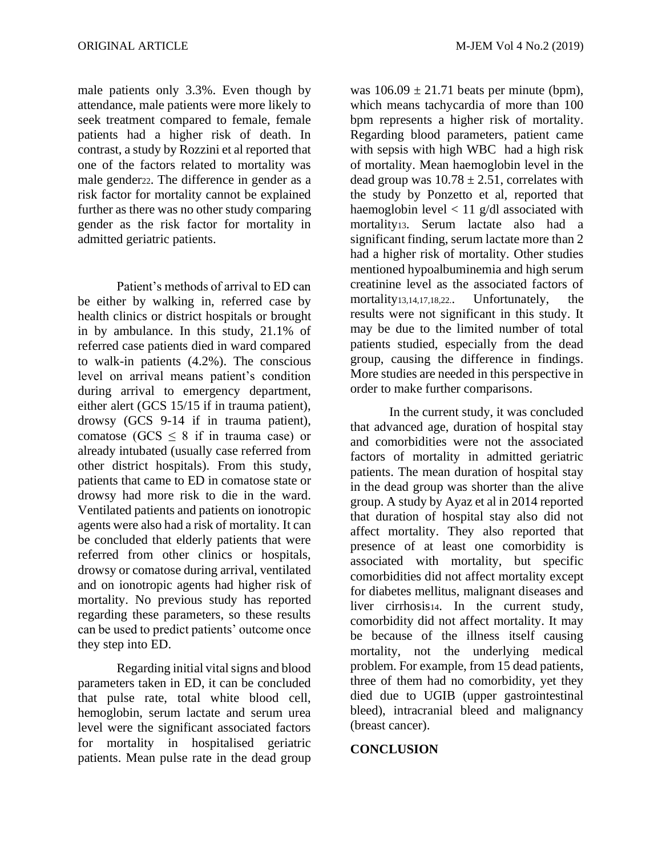male patients only 3.3%. Even though by attendance, male patients were more likely to seek treatment compared to female, female patients had a higher risk of death. In contrast, a study by Rozzini et al reported that one of the factors related to mortality was male gender22. The difference in gender as a risk factor for mortality cannot be explained further as there was no other study comparing gender as the risk factor for mortality in admitted geriatric patients.

Patient's methods of arrival to ED can be either by walking in, referred case by health clinics or district hospitals or brought in by ambulance. In this study, 21.1% of referred case patients died in ward compared to walk-in patients (4.2%). The conscious level on arrival means patient's condition during arrival to emergency department, either alert (GCS 15/15 if in trauma patient), drowsy (GCS 9-14 if in trauma patient), comatose ( $GCS \leq 8$  if in trauma case) or already intubated (usually case referred from other district hospitals). From this study, patients that came to ED in comatose state or drowsy had more risk to die in the ward. Ventilated patients and patients on ionotropic agents were also had a risk of mortality. It can be concluded that elderly patients that were referred from other clinics or hospitals, drowsy or comatose during arrival, ventilated and on ionotropic agents had higher risk of mortality. No previous study has reported regarding these parameters, so these results can be used to predict patients' outcome once they step into ED.

Regarding initial vital signs and blood parameters taken in ED, it can be concluded that pulse rate, total white blood cell, hemoglobin, serum lactate and serum urea level were the significant associated factors for mortality in hospitalised geriatric patients. Mean pulse rate in the dead group

was  $106.09 \pm 21.71$  beats per minute (bpm), which means tachycardia of more than 100 bpm represents a higher risk of mortality. Regarding blood parameters, patient came with sepsis with high WBC had a high risk of mortality. Mean haemoglobin level in the dead group was  $10.78 \pm 2.51$ , correlates with the study by Ponzetto et al, reported that haemoglobin level  $< 11$  g/dl associated with mortality13. Serum lactate also had a significant finding, serum lactate more than 2 had a higher risk of mortality. Other studies mentioned hypoalbuminemia and high serum creatinine level as the associated factors of mortality13,14,17,18,22.. Unfortunately, the results were not significant in this study. It may be due to the limited number of total patients studied, especially from the dead group, causing the difference in findings. More studies are needed in this perspective in order to make further comparisons.

In the current study, it was concluded that advanced age, duration of hospital stay and comorbidities were not the associated factors of mortality in admitted geriatric patients. The mean duration of hospital stay in the dead group was shorter than the alive group. A study by Ayaz et al in 2014 reported that duration of hospital stay also did not affect mortality. They also reported that presence of at least one comorbidity is associated with mortality, but specific comorbidities did not affect mortality except for diabetes mellitus, malignant diseases and liver cirrhosis14. In the current study, comorbidity did not affect mortality. It may be because of the illness itself causing mortality, not the underlying medical problem. For example, from 15 dead patients, three of them had no comorbidity, yet they died due to UGIB (upper gastrointestinal bleed), intracranial bleed and malignancy (breast cancer).

### **CONCLUSION**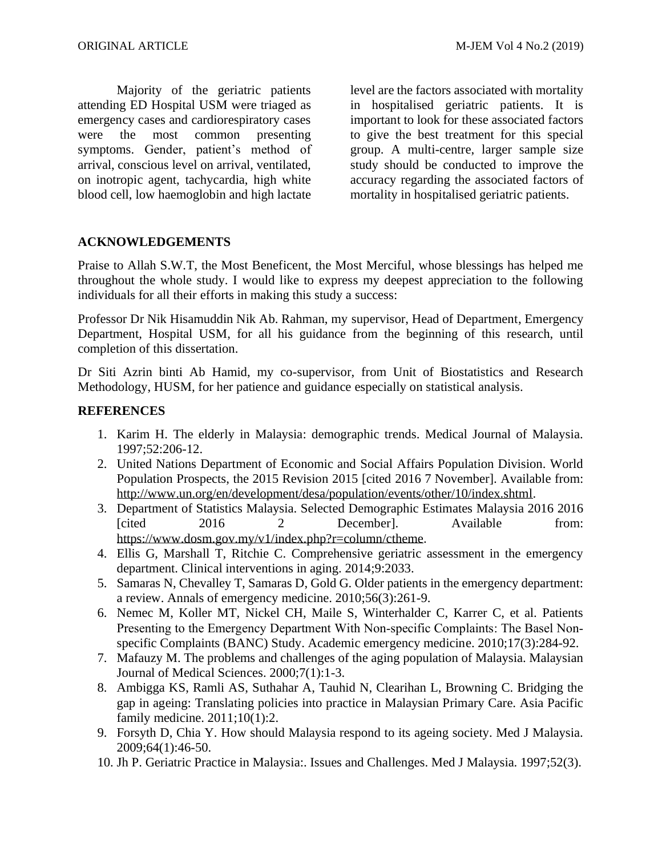Majority of the geriatric patients attending ED Hospital USM were triaged as emergency cases and cardiorespiratory cases were the most common presenting symptoms. Gender, patient's method of arrival, conscious level on arrival, ventilated, on inotropic agent, tachycardia, high white blood cell, low haemoglobin and high lactate level are the factors associated with mortality in hospitalised geriatric patients. It is important to look for these associated factors to give the best treatment for this special group. A multi-centre, larger sample size study should be conducted to improve the accuracy regarding the associated factors of mortality in hospitalised geriatric patients.

# **ACKNOWLEDGEMENTS**

Praise to Allah S.W.T, the Most Beneficent, the Most Merciful, whose blessings has helped me throughout the whole study. I would like to express my deepest appreciation to the following individuals for all their efforts in making this study a success:

Professor Dr Nik Hisamuddin Nik Ab. Rahman, my supervisor, Head of Department, Emergency Department, Hospital USM, for all his guidance from the beginning of this research, until completion of this dissertation.

Dr Siti Azrin binti Ab Hamid, my co-supervisor, from Unit of Biostatistics and Research Methodology, HUSM, for her patience and guidance especially on statistical analysis.

# **REFERENCES**

- 1. Karim H. The elderly in Malaysia: demographic trends. Medical Journal of Malaysia. 1997;52:206-12.
- 2. United Nations Department of Economic and Social Affairs Population Division. World Population Prospects, the 2015 Revision 2015 [cited 2016 7 November]. Available from: [http://www.un.org/en/development/desa/population/events/other/10/index.shtml.](http://www.un.org/en/development/desa/population/events/other/10/index.shtml)
- 3. Department of Statistics Malaysia. Selected Demographic Estimates Malaysia 2016 2016 [cited 2016 2 December]. Available from: [https://www.dosm.gov.my/v1/index.php?r=column/ctheme.](https://www.dosm.gov.my/v1/index.php?r=column/cthemeByCat&cat=397&bul_id=WVVQUnYrZkRwK1k1QXZMbEpuV1hNUT09&menu_id=L0pheU43NWJwRWVSZklWdzQ4TlhUUT)
- 4. Ellis G, Marshall T, Ritchie C. Comprehensive geriatric assessment in the emergency department. Clinical interventions in aging. 2014;9:2033.
- 5. Samaras N, Chevalley T, Samaras D, Gold G. Older patients in the emergency department: a review. Annals of emergency medicine. 2010;56(3):261-9.
- 6. Nemec M, Koller MT, Nickel CH, Maile S, Winterhalder C, Karrer C, et al. Patients Presenting to the Emergency Department With Non-specific Complaints: The Basel Nonspecific Complaints (BANC) Study. Academic emergency medicine. 2010;17(3):284-92.
- 7. Mafauzy M. The problems and challenges of the aging population of Malaysia. Malaysian Journal of Medical Sciences. 2000;7(1):1-3.
- 8. Ambigga KS, Ramli AS, Suthahar A, Tauhid N, Clearihan L, Browning C. Bridging the gap in ageing: Translating policies into practice in Malaysian Primary Care. Asia Pacific family medicine. 2011;10(1):2.
- 9. Forsyth D, Chia Y. How should Malaysia respond to its ageing society. Med J Malaysia. 2009;64(1):46-50.
- 10. Jh P. Geriatric Practice in Malaysia:. Issues and Challenges. Med J Malaysia. 1997;52(3).